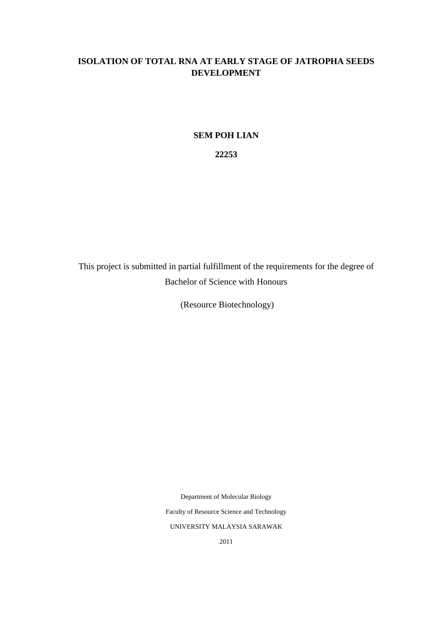# **ISOLATION OF TOTAL RNA AT EARLY STAGE OF JATROPHA SEEDS DEVELOPMENT**

# **SEM POH LIAN**

**22253**

This project is submitted in partial fulfillment of the requirements for the degree of Bachelor of Science with Honours

(Resource Biotechnology)

Department of Molecular Biology

Faculty of Resource Science and Technology

UNIVERSITY MALAYSIA SARAWAK

2011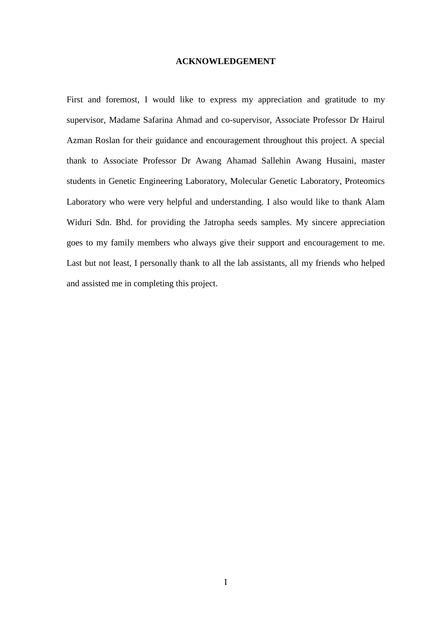# **ACKNOWLEDGEMENT**

First and foremost, I would like to express my appreciation and gratitude to my supervisor, Madame Safarina Ahmad and co-supervisor, Associate Professor Dr Hairul Azman Roslan for their guidance and encouragement throughout this project. A special thank to Associate Professor Dr Awang Ahamad Sallehin Awang Husaini, master students in Genetic Engineering Laboratory, Molecular Genetic Laboratory, Proteomics Laboratory who were very helpful and understanding. I also would like to thank Alam Widuri Sdn. Bhd. for providing the Jatropha seeds samples. My sincere appreciation goes to my family members who always give their support and encouragement to me. Last but not least, I personally thank to all the lab assistants, all my friends who helped and assisted me in completing this project.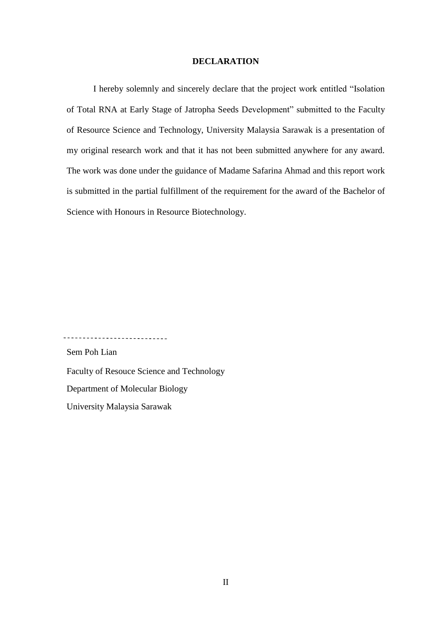# **DECLARATION**

I hereby solemnly and sincerely declare that the project work entitled "Isolation of Total RNA at Early Stage of Jatropha Seeds Development" submitted to the Faculty of Resource Science and Technology, University Malaysia Sarawak is a presentation of my original research work and that it has not been submitted anywhere for any award. The work was done under the guidance of Madame Safarina Ahmad and this report work is submitted in the partial fulfillment of the requirement for the award of the Bachelor of Science with Honours in Resource Biotechnology.

---------------------------

Sem Poh Lian

Faculty of Resouce Science and Technology

Department of Molecular Biology

University Malaysia Sarawak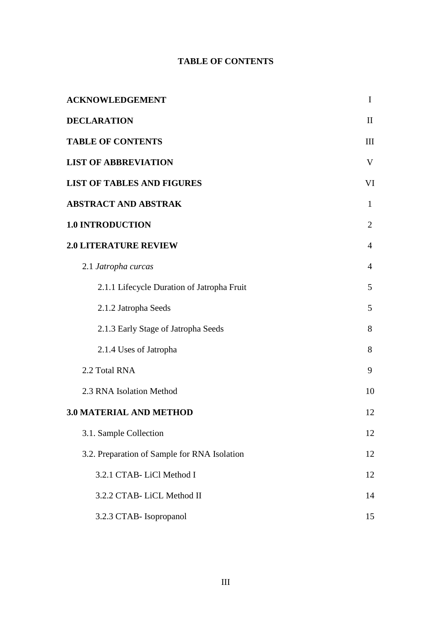# **TABLE OF CONTENTS**

| <b>ACKNOWLEDGEMENT</b>                       | I              |
|----------------------------------------------|----------------|
| <b>DECLARATION</b>                           | $\mathbf{I}$   |
| <b>TABLE OF CONTENTS</b>                     |                |
| <b>LIST OF ABBREVIATION</b>                  | V              |
| <b>LIST OF TABLES AND FIGURES</b>            | VI             |
| <b>ABSTRACT AND ABSTRAK</b>                  | $\mathbf{1}$   |
| <b>1.0 INTRODUCTION</b>                      | $\overline{2}$ |
| <b>2.0 LITERATURE REVIEW</b>                 | $\overline{4}$ |
| 2.1 Jatropha curcas                          | 4              |
| 2.1.1 Lifecycle Duration of Jatropha Fruit   | 5              |
| 2.1.2 Jatropha Seeds                         | 5              |
| 2.1.3 Early Stage of Jatropha Seeds          | 8              |
| 2.1.4 Uses of Jatropha                       | 8              |
| 2.2 Total RNA                                | 9              |
| 2.3 RNA Isolation Method                     | 10             |
| <b>3.0 MATERIAL AND METHOD</b>               | 12             |
| 3.1. Sample Collection                       | 12             |
| 3.2. Preparation of Sample for RNA Isolation | 12             |
| 3.2.1 CTAB-LiCl Method I                     | 12             |
| 3.2.2 CTAB-LiCL Method II                    | 14             |
| 3.2.3 CTAB- Isopropanol                      | 15             |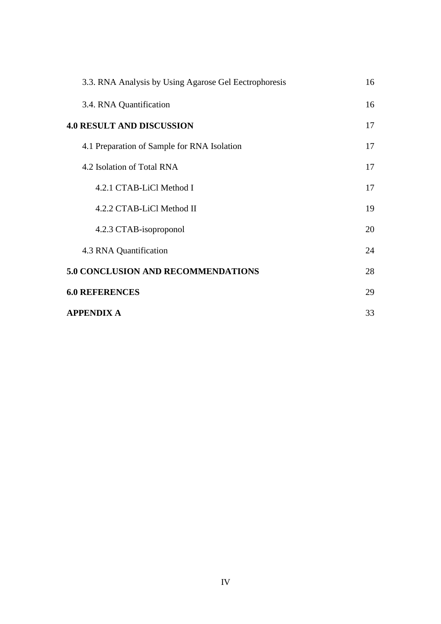| 3.3. RNA Analysis by Using Agarose Gel Eectrophoresis | 16 |
|-------------------------------------------------------|----|
| 3.4. RNA Quantification                               | 16 |
| <b>4.0 RESULT AND DISCUSSION</b>                      | 17 |
| 4.1 Preparation of Sample for RNA Isolation           | 17 |
| 4.2 Isolation of Total RNA                            | 17 |
| 4.2.1 CTAB-LiCl Method I                              | 17 |
| 4.2.2 CTAB-LiCl Method II                             | 19 |
| 4.2.3 CTAB-isoproponol                                | 20 |
| 4.3 RNA Quantification                                | 24 |
| <b>5.0 CONCLUSION AND RECOMMENDATIONS</b>             | 28 |
| <b>6.0 REFERENCES</b>                                 | 29 |
| <b>APPENDIX A</b>                                     | 33 |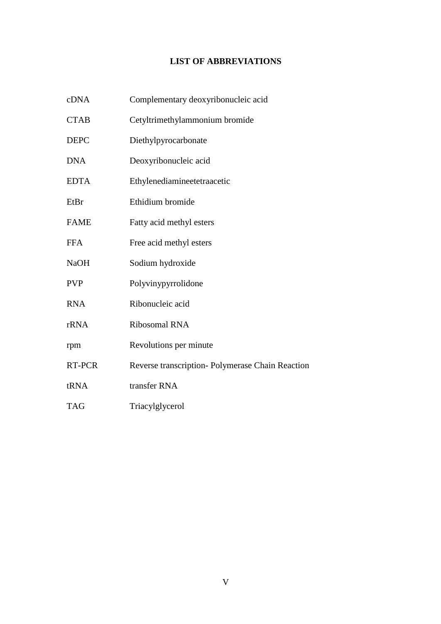# **LIST OF ABBREVIATIONS**

| cDNA        | Complementary deoxyribonucleic acid              |
|-------------|--------------------------------------------------|
| <b>CTAB</b> | Cetyltrimethylammonium bromide                   |
| <b>DEPC</b> | Diethylpyrocarbonate                             |
| <b>DNA</b>  | Deoxyribonucleic acid                            |
| <b>EDTA</b> | Ethylenediamineetetraacetic                      |
| EtBr        | Ethidium bromide                                 |
| <b>FAME</b> | Fatty acid methyl esters                         |
| <b>FFA</b>  | Free acid methyl esters                          |
| <b>NaOH</b> | Sodium hydroxide                                 |
| <b>PVP</b>  | Polyvinypyrrolidone                              |
| <b>RNA</b>  | Ribonucleic acid                                 |
| rRNA        | Ribosomal RNA                                    |
| rpm         | Revolutions per minute                           |
| RT-PCR      | Reverse transcription- Polymerase Chain Reaction |
| tRNA        | transfer RNA                                     |
| <b>TAG</b>  | Triacylglycerol                                  |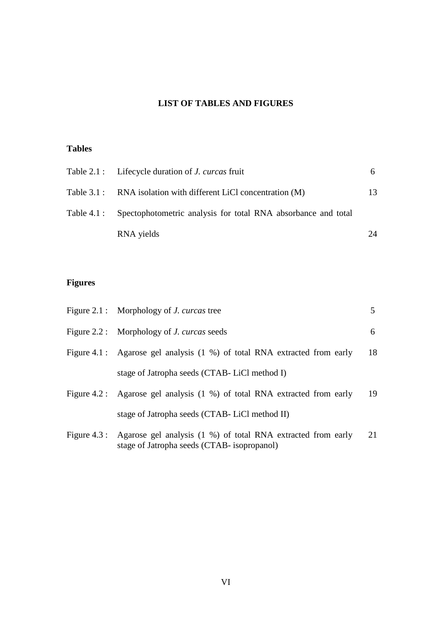# **LIST OF TABLES AND FIGURES**

# **Tables**

| Table 2.1 : Lifecycle duration of <i>J. curcas</i> fruit                  | 6. |
|---------------------------------------------------------------------------|----|
| Table 3.1: RNA isolation with different LiCl concentration (M)            | 13 |
| Table 4.1 : Spectophotometric analysis for total RNA absorbance and total |    |
| RNA yields                                                                | 24 |

# **Figures**

| Figure 2.1 : Morphology of <i>J. curcas</i> tree                                                                         | 5  |
|--------------------------------------------------------------------------------------------------------------------------|----|
| Figure 2.2 : Morphology of <i>J. curcas</i> seeds                                                                        | 6  |
| Figure 4.1 : Agarose gel analysis (1 %) of total RNA extracted from early                                                | 18 |
| stage of Jatropha seeds (CTAB-LiCl method I)                                                                             |    |
| Figure 4.2 : Agarose gel analysis (1 %) of total RNA extracted from early                                                | 19 |
| stage of Jatropha seeds (CTAB-LiCl method II)                                                                            |    |
| Figure 4.3 : Agarose gel analysis (1 %) of total RNA extracted from early<br>stage of Jatropha seeds (CTAB- isopropanol) | 21 |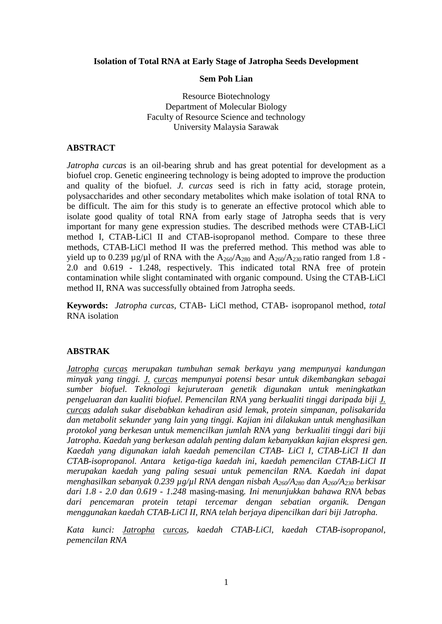# **Isolation of Total RNA at Early Stage of Jatropha Seeds Development**

# **Sem Poh Lian**

Resource Biotechnology Department of Molecular Biology Faculty of Resource Science and technology University Malaysia Sarawak

# **ABSTRACT**

*Jatropha curcas* is an oil-bearing shrub and has great potential for development as a biofuel crop. Genetic engineering technology is being adopted to improve the production and quality of the biofuel. *J. curcas* seed is rich in fatty acid, storage protein, polysaccharides and other secondary metabolites which make isolation of total RNA to be difficult. The aim for this study is to generate an effective protocol which able to isolate good quality of total RNA from early stage of Jatropha seeds that is very important for many gene expression studies. The described methods were CTAB-LiCl method I, CTAB-LiCl II and CTAB-isopropanol method. Compare to these three methods, CTAB-LiCl method II was the preferred method. This method was able to yield up to 0.239  $\mu$ g/ $\mu$ l of RNA with the A<sub>260</sub>/A<sub>280</sub> and A<sub>260</sub>/A<sub>230</sub> ratio ranged from 1.8 -2.0 and 0.619 - 1.248, respectively. This indicated total RNA free of protein contamination while slight contaminated with organic compound. Using the CTAB-LiCl method II, RNA was successfully obtained from Jatropha seeds.

**Keywords:** *Jatropha curcas,* CTAB- LiCl method, CTAB- isopropanol method, *total* RNA isolation

# **ABSTRAK**

*Jatropha curcas merupakan tumbuhan semak berkayu yang mempunyai kandungan minyak yang tinggi. J. curcas mempunyai potensi besar untuk dikembangkan sebagai sumber biofuel. Teknologi kejuruteraan genetik digunakan untuk meningkatkan pengeluaran dan kualiti biofuel. Pemencilan RNA yang berkualiti tinggi daripada biji J. curcas adalah sukar disebabkan kehadiran asid lemak, protein simpanan, polisakarida dan metabolit sekunder yang lain yang tinggi. Kajian ini dilakukan untuk menghasilkan protokol yang berkesan untuk memencilkan jumlah RNA yang berkualiti tinggi dari biji Jatropha. Kaedah yang berkesan adalah penting dalam kebanyakkan kajian ekspresi gen. Kaedah yang digunakan ialah kaedah pemencilan CTAB- LiCl I, CTAB-LiCl II dan CTAB-isopropanol. Antara ketiga-tiga kaedah ini, kaedah pemencilan CTAB-LiCl II merupakan kaedah yang paling sesuai untuk pemencilan RNA. Kaedah ini dapat menghasilkan sebanyak 0.239 µg/µl RNA dengan nisbah A260/A<sup>280</sup> dan A260/A<sup>230</sup> berkisar dari 1.8 - 2.0 dan 0.619 - 1.248* masing-masing*. Ini menunjukkan bahawa RNA bebas dari pencemaran protein tetapi tercemar dengan sebatian organik. Dengan menggunakan kaedah CTAB-LiCl II, RNA telah berjaya dipencilkan dari biji Jatropha.*

*Kata kunci: Jatropha curcas, kaedah CTAB-LiCl, kaedah CTAB-isopropanol, pemencilan RNA*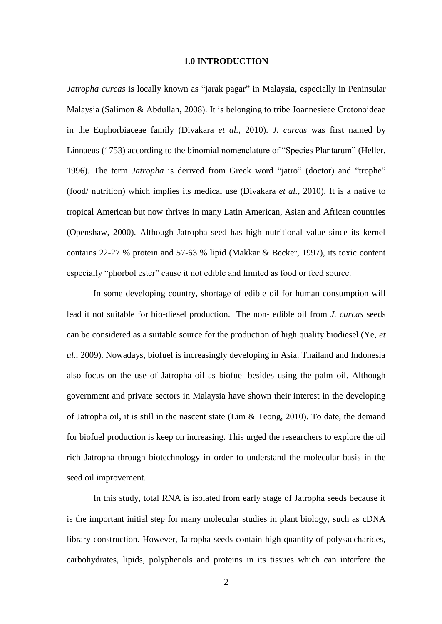#### **1.0 INTRODUCTION**

*Jatropha curcas* is locally known as "jarak pagar" in Malaysia, especially in Peninsular Malaysia (Salimon & Abdullah, 2008). It is belonging to tribe Joannesieae Crotonoideae in the Euphorbiaceae family (Divakara *et al.*, 2010). *J. curcas* was first named by Linnaeus (1753) according to the binomial nomenclature of "Species Plantarum" (Heller, 1996). The term *Jatropha* is derived from Greek word "jatro" (doctor) and "trophe" (food/ nutrition) which implies its medical use (Divakara *et al.*, 2010). It is a native to tropical American but now thrives in many Latin American, Asian and African countries (Openshaw, 2000). Although Jatropha seed has high nutritional value since its kernel contains 22-27 % protein and 57-63 % lipid (Makkar & Becker, 1997), its toxic content especially "phorbol ester" cause it not edible and limited as food or feed source.

In some developing country, shortage of edible oil for human consumption will lead it not suitable for bio-diesel production. The non- edible oil from *J. curcas* seeds can be considered as a suitable source for the production of high quality biodiesel (Ye, *et al.*, 2009). Nowadays, biofuel is increasingly developing in Asia. Thailand and Indonesia also focus on the use of Jatropha oil as biofuel besides using the palm oil. Although government and private sectors in Malaysia have shown their interest in the developing of Jatropha oil, it is still in the nascent state (Lim & Teong, 2010). To date, the demand for biofuel production is keep on increasing. This urged the researchers to explore the oil rich Jatropha through biotechnology in order to understand the molecular basis in the seed oil improvement.

In this study, total RNA is isolated from early stage of Jatropha seeds because it is the important initial step for many molecular studies in plant biology, such as cDNA library construction. However, Jatropha seeds contain high quantity of polysaccharides, carbohydrates, lipids, polyphenols and proteins in its tissues which can interfere the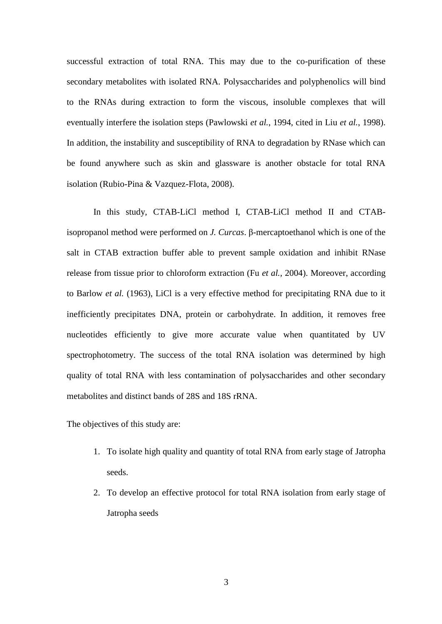successful extraction of total RNA. This may due to the co-purification of these secondary metabolites with isolated RNA. Polysaccharides and polyphenolics will bind to the RNAs during extraction to form the viscous, insoluble complexes that will eventually interfere the isolation steps (Pawlowski *et al.*, 1994, cited in Liu *et al.*, 1998). In addition, the instability and susceptibility of RNA to degradation by RNase which can be found anywhere such as skin and glassware is another obstacle for total RNA isolation (Rubio-Pina & Vazquez-Flota, 2008).

In this study, CTAB-LiCl method I, CTAB-LiCl method II and CTABisopropanol method were performed on *J. Curcas*. β-mercaptoethanol which is one of the salt in CTAB extraction buffer able to prevent sample oxidation and inhibit RNase release from tissue prior to chloroform extraction (Fu *et al.*, 2004). Moreover, according to Barlow *et al.* (1963), LiCl is a very effective method for precipitating RNA due to it inefficiently precipitates DNA, protein or carbohydrate. In addition, it removes free nucleotides efficiently to give more accurate value when quantitated by UV spectrophotometry. The success of the total RNA isolation was determined by high quality of total RNA with less contamination of polysaccharides and other secondary metabolites and distinct bands of 28S and 18S rRNA.

The objectives of this study are:

- 1. To isolate high quality and quantity of total RNA from early stage of Jatropha seeds.
- 2. To develop an effective protocol for total RNA isolation from early stage of Jatropha seeds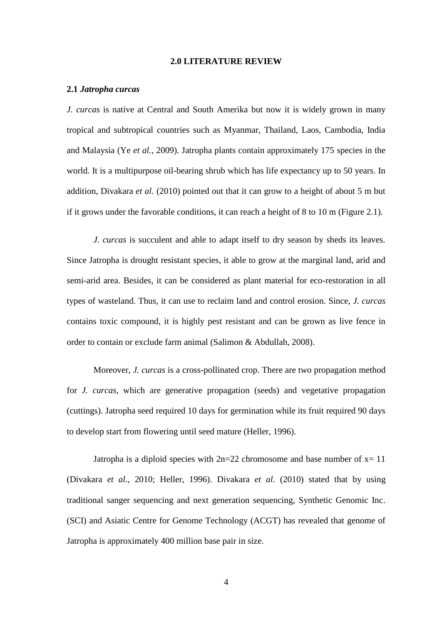# **2.0 LITERATURE REVIEW**

#### **2.1** *Jatropha curcas*

*J. curcas* is native at Central and South Amerika but now it is widely grown in many tropical and subtropical countries such as Myanmar, Thailand, Laos, Cambodia, India and Malaysia (Ye *et al.*, 2009). Jatropha plants contain approximately 175 species in the world. It is a multipurpose oil-bearing shrub which has life expectancy up to 50 years. In addition, Divakara *et al.* (2010) pointed out that it can grow to a height of about 5 m but if it grows under the favorable conditions, it can reach a height of 8 to 10 m (Figure 2.1).

*J. curcas* is succulent and able to adapt itself to dry season by sheds its leaves. Since Jatropha is drought resistant species, it able to grow at the marginal land, arid and semi-arid area. Besides, it can be considered as plant material for eco-restoration in all types of wasteland. Thus, it can use to reclaim land and control erosion. Since, *J. curcas* contains toxic compound, it is highly pest resistant and can be grown as live fence in order to contain or exclude farm animal (Salimon & Abdullah, 2008).

Moreover, *J. curcas* is a cross-pollinated crop. There are two propagation method for *J. curcas*, which are generative propagation (seeds) and vegetative propagation (cuttings). Jatropha seed required 10 days for germination while its fruit required 90 days to develop start from flowering until seed mature (Heller, 1996).

Jatropha is a diploid species with  $2n=22$  chromosome and base number of  $x=11$ (Divakara *et al.*, 2010; Heller, 1996). Divakara *et al*. (2010) stated that by using traditional sanger sequencing and next generation sequencing, Synthetic Genomic Inc. (SCI) and Asiatic Centre for Genome Technology (ACGT) has revealed that genome of Jatropha is approximately 400 million base pair in size.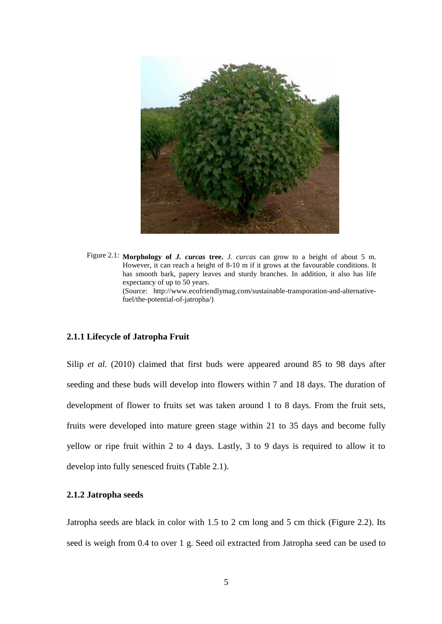

 Figure 2.1: **Morphology of** *J. curcas* **tree.** *J. curcas* can grow to a height of about 5 m. However, it can reach a height of 8-10 m if it grows at the favourable conditions. It has smooth bark, papery leaves and sturdy branches. In addition, it also has life expectancy of up to 50 years. (Source: http://www.ecofriendlymag.com/sustainable-transporation-and-alternativefuel/the-potential-of-jatropha/)

# **2.1.1 Lifecycle of Jatropha Fruit**

Silip *et al.* (2010) claimed that first buds were appeared around 85 to 98 days after seeding and these buds will develop into flowers within 7 and 18 days. The duration of development of flower to fruits set was taken around 1 to 8 days. From the fruit sets, fruits were developed into mature green stage within 21 to 35 days and become fully yellow or ripe fruit within 2 to 4 days. Lastly, 3 to 9 days is required to allow it to develop into fully senesced fruits (Table 2.1).

# **2.1.2 Jatropha seeds**

Jatropha seeds are black in color with 1.5 to 2 cm long and 5 cm thick (Figure 2.2). Its seed is weigh from 0.4 to over 1 g. Seed oil extracted from Jatropha seed can be used to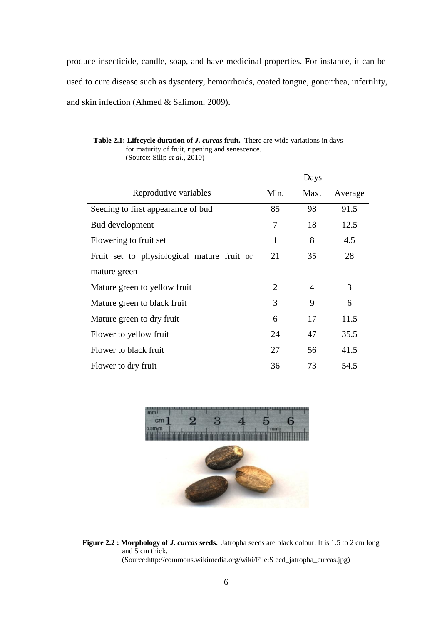produce insecticide, candle, soap, and have medicinal properties. For instance, it can be used to cure disease such as dysentery, hemorrhoids, coated tongue, gonorrhea, infertility, and skin infection (Ahmed & Salimon, 2009).

|                                            |      | Days           |         |
|--------------------------------------------|------|----------------|---------|
| Reprodutive variables                      | Min. | Max.           | Average |
| Seeding to first appearance of bud         | 85   | 98             | 91.5    |
| Bud development                            | 7    | 18             | 12.5    |
| Flowering to fruit set                     | 1    | 8              | 4.5     |
| Fruit set to physiological mature fruit or | 21   | 35             | 28      |
| mature green                               |      |                |         |
| Mature green to yellow fruit               | 2    | $\overline{4}$ | 3       |
| Mature green to black fruit                | 3    | 9              | 6       |
| Mature green to dry fruit                  | 6    | 17             | 11.5    |
| Flower to yellow fruit                     | 24   | 47             | 35.5    |
| Flower to black fruit                      | 27   | 56             | 41.5    |
| Flower to dry fruit                        | 36   | 73             | 54.5    |

# **Table 2.1: Lifecycle duration of** *J. curcas* **fruit.** There are wide variations in days for maturity of fruit, ripening and senescence.

(Source: Silip *et al.*, 2010)



**Figure 2.2 : Morphology of** *J. curcas* **seeds.** Jatropha seeds are black colour. It is 1.5 to 2 cm long and 5 cm thick. (Source:http://commons.wikimedia.org/wiki/File:S eed\_jatropha\_curcas.jpg)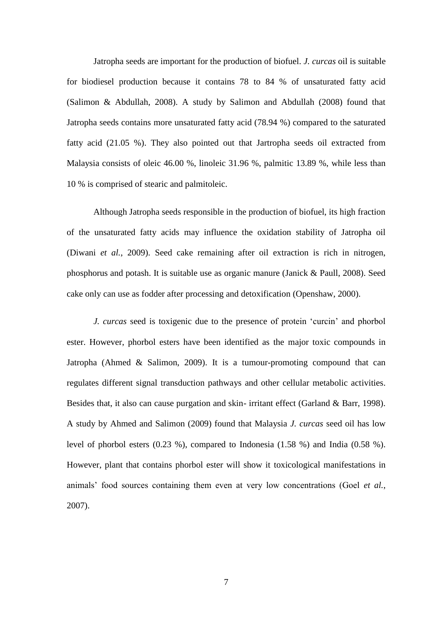Jatropha seeds are important for the production of biofuel. *J. curcas* oil is suitable for biodiesel production because it contains 78 to 84 % of unsaturated fatty acid (Salimon & Abdullah, 2008). A study by Salimon and Abdullah (2008) found that Jatropha seeds contains more unsaturated fatty acid (78.94 %) compared to the saturated fatty acid (21.05 %). They also pointed out that Jartropha seeds oil extracted from Malaysia consists of oleic 46.00 %, linoleic 31.96 %, palmitic 13.89 %, while less than 10 % is comprised of stearic and palmitoleic.

Although Jatropha seeds responsible in the production of biofuel, its high fraction of the unsaturated fatty acids may influence the oxidation stability of Jatropha oil (Diwani *et al.*, 2009). Seed cake remaining after oil extraction is rich in nitrogen, phosphorus and potash. It is suitable use as organic manure (Janick & Paull, 2008). Seed cake only can use as fodder after processing and detoxification (Openshaw, 2000).

*J. curcas* seed is toxigenic due to the presence of protein "curcin" and phorbol ester. However, phorbol esters have been identified as the major toxic compounds in Jatropha (Ahmed & Salimon, 2009). It is a tumour-promoting compound that can regulates different signal transduction pathways and other cellular metabolic activities. Besides that, it also can cause purgation and skin- irritant effect (Garland & Barr, 1998). A study by Ahmed and Salimon (2009) found that Malaysia *J. curcas* seed oil has low level of phorbol esters (0.23 %), compared to Indonesia (1.58 %) and India (0.58 %). However, plant that contains phorbol ester will show it toxicological manifestations in animals" food sources containing them even at very low concentrations (Goel *et al.*, 2007).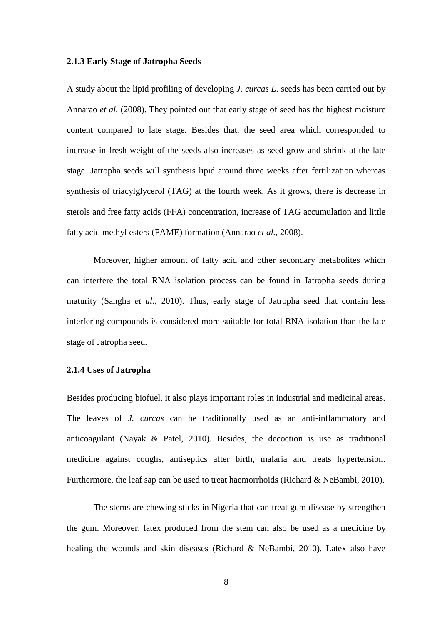#### **2.1.3 Early Stage of Jatropha Seeds**

A study about the lipid profiling of developing *J. curcas L*. seeds has been carried out by Annarao *et al.* (2008). They pointed out that early stage of seed has the highest moisture content compared to late stage. Besides that, the seed area which corresponded to increase in fresh weight of the seeds also increases as seed grow and shrink at the late stage. Jatropha seeds will synthesis lipid around three weeks after fertilization whereas synthesis of triacylglycerol (TAG) at the fourth week. As it grows, there is decrease in sterols and free fatty acids (FFA) concentration, increase of TAG accumulation and little fatty acid methyl esters (FAME) formation (Annarao *et al.*, 2008).

Moreover, higher amount of fatty acid and other secondary metabolites which can interfere the total RNA isolation process can be found in Jatropha seeds during maturity (Sangha *et al.*, 2010). Thus, early stage of Jatropha seed that contain less interfering compounds is considered more suitable for total RNA isolation than the late stage of Jatropha seed.

## **2.1.4 Uses of Jatropha**

Besides producing biofuel, it also plays important roles in industrial and medicinal areas. The leaves of *J. curcas* can be traditionally used as an anti-inflammatory and anticoagulant (Nayak & Patel, 2010). Besides, the decoction is use as traditional medicine against coughs, antiseptics after birth, malaria and treats hypertension. Furthermore, the leaf sap can be used to treat haemorrhoids (Richard & NeBambi, 2010).

The stems are chewing sticks in Nigeria that can treat gum disease by strengthen the gum. Moreover, latex produced from the stem can also be used as a medicine by healing the wounds and skin diseases (Richard & NeBambi, 2010). Latex also have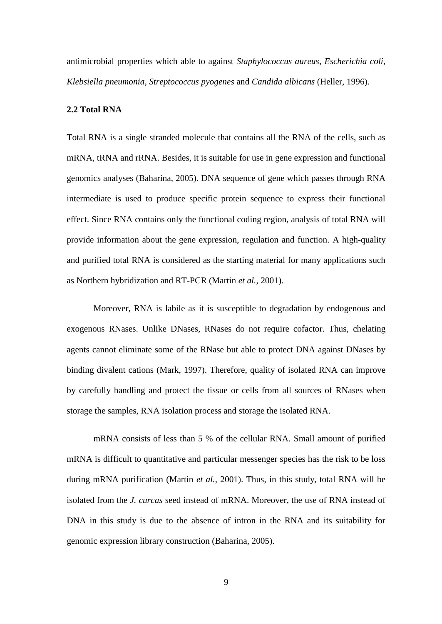antimicrobial properties which able to against *Staphylococcus aureus*, *Escherichia coli*, *Klebsiella pneumonia*, *Streptococcus pyogenes* and *Candida albicans* (Heller, 1996).

# **2.2 Total RNA**

Total RNA is a single stranded molecule that contains all the RNA of the cells, such as mRNA, tRNA and rRNA. Besides, it is suitable for use in gene expression and functional genomics analyses (Baharina, 2005). DNA sequence of gene which passes through RNA intermediate is used to produce specific protein sequence to express their functional effect. Since RNA contains only the functional coding region, analysis of total RNA will provide information about the gene expression, regulation and function. A high-quality and purified total RNA is considered as the starting material for many applications such as Northern hybridization and RT-PCR (Martin *et al.*, 2001).

Moreover, RNA is labile as it is susceptible to degradation by endogenous and exogenous RNases. Unlike DNases, RNases do not require cofactor. Thus, chelating agents cannot eliminate some of the RNase but able to protect DNA against DNases by binding divalent cations (Mark, 1997). Therefore, quality of isolated RNA can improve by carefully handling and protect the tissue or cells from all sources of RNases when storage the samples, RNA isolation process and storage the isolated RNA.

mRNA consists of less than 5 % of the cellular RNA. Small amount of purified mRNA is difficult to quantitative and particular messenger species has the risk to be loss during mRNA purification (Martin *et al.*, 2001). Thus, in this study, total RNA will be isolated from the *J. curcas* seed instead of mRNA. Moreover, the use of RNA instead of DNA in this study is due to the absence of intron in the RNA and its suitability for genomic expression library construction (Baharina, 2005).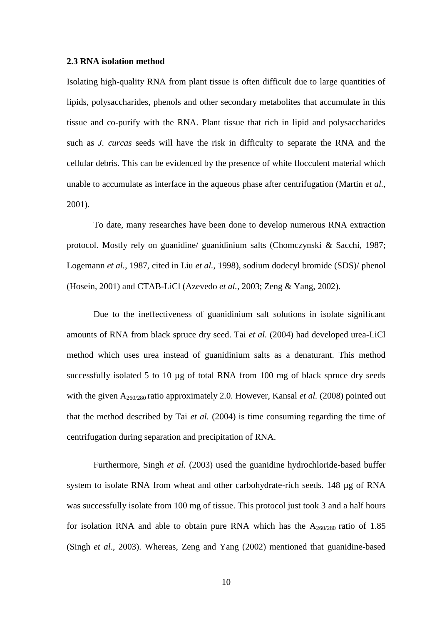# **2.3 RNA isolation method**

Isolating high-quality RNA from plant tissue is often difficult due to large quantities of lipids, polysaccharides, phenols and other secondary metabolites that accumulate in this tissue and co-purify with the RNA. Plant tissue that rich in lipid and polysaccharides such as *J. curcas* seeds will have the risk in difficulty to separate the RNA and the cellular debris. This can be evidenced by the presence of white flocculent material which unable to accumulate as interface in the aqueous phase after centrifugation (Martin *et al.*, 2001).

To date, many researches have been done to develop numerous RNA extraction protocol. Mostly rely on guanidine/ guanidinium salts (Chomczynski & Sacchi, 1987; Logemann *et al.*, 1987, cited in Liu *et al.*, 1998), sodium dodecyl bromide (SDS)/ phenol (Hosein, 2001) and CTAB-LiCl (Azevedo *et al.*, 2003; Zeng & Yang, 2002).

Due to the ineffectiveness of guanidinium salt solutions in isolate significant amounts of RNA from black spruce dry seed. Tai *et al.* (2004) had developed urea-LiCl method which uses urea instead of guanidinium salts as a denaturant. This method successfully isolated 5 to 10 µg of total RNA from 100 mg of black spruce dry seeds with the given A<sub>260/280</sub> ratio approximately 2.0. However, Kansal *et al.* (2008) pointed out that the method described by Tai *et al.* (2004) is time consuming regarding the time of centrifugation during separation and precipitation of RNA.

Furthermore, Singh *et al.* (2003) used the guanidine hydrochloride-based buffer system to isolate RNA from wheat and other carbohydrate-rich seeds. 148 µg of RNA was successfully isolate from 100 mg of tissue. This protocol just took 3 and a half hours for isolation RNA and able to obtain pure RNA which has the  $A_{260/280}$  ratio of 1.85 (Singh *et al*., 2003). Whereas, Zeng and Yang (2002) mentioned that guanidine-based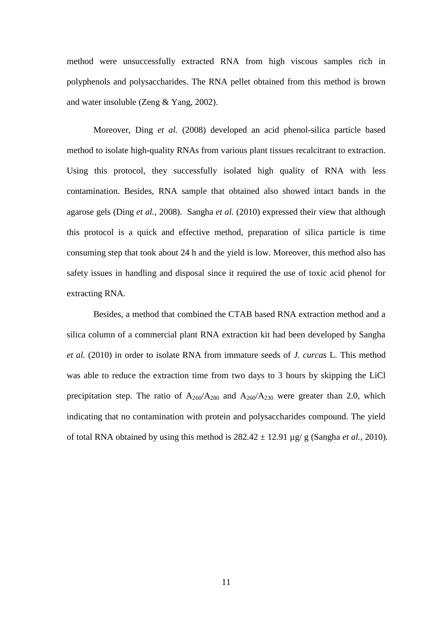method were unsuccessfully extracted RNA from high viscous samples rich in polyphenols and polysaccharides. The RNA pellet obtained from this method is brown and water insoluble (Zeng & Yang, 2002).

Moreover, Ding *et al.* (2008) developed an acid phenol-silica particle based method to isolate high-quality RNAs from various plant tissues recalcitrant to extraction. Using this protocol, they successfully isolated high quality of RNA with less contamination. Besides, RNA sample that obtained also showed intact bands in the agarose gels (Ding *et al.*, 2008). Sangha *et al.* (2010) expressed their view that although this protocol is a quick and effective method, preparation of silica particle is time consuming step that took about 24 h and the yield is low. Moreover, this method also has safety issues in handling and disposal since it required the use of toxic acid phenol for extracting RNA.

Besides, a method that combined the CTAB based RNA extraction method and a silica column of a commercial plant RNA extraction kit had been developed by Sangha *et al.* (2010) in order to isolate RNA from immature seeds of *J. curcas* L. This method was able to reduce the extraction time from two days to 3 hours by skipping the LiCl precipitation step. The ratio of  $A_{260}/A_{280}$  and  $A_{260}/A_{230}$  were greater than 2.0, which indicating that no contamination with protein and polysaccharides compound. The yield of total RNA obtained by using this method is  $282.42 \pm 12.91$  µg/ g (Sangha *et al.*, 2010).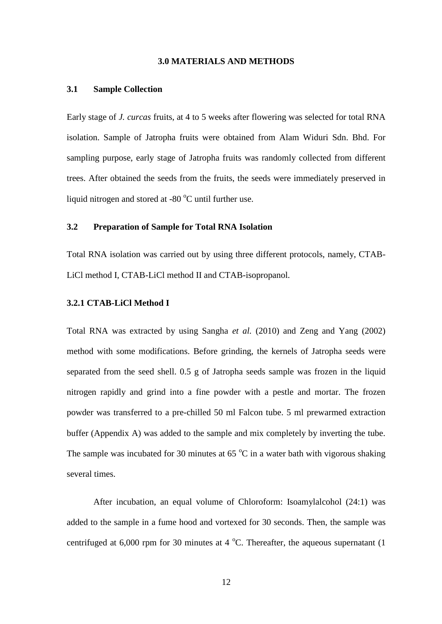# **3.0 MATERIALS AND METHODS**

#### **3.1 Sample Collection**

Early stage of *J. curcas* fruits, at 4 to 5 weeks after flowering was selected for total RNA isolation. Sample of Jatropha fruits were obtained from Alam Widuri Sdn. Bhd. For sampling purpose, early stage of Jatropha fruits was randomly collected from different trees. After obtained the seeds from the fruits, the seeds were immediately preserved in liquid nitrogen and stored at  $-80\degree$ C until further use.

# **3.2 Preparation of Sample for Total RNA Isolation**

Total RNA isolation was carried out by using three different protocols, namely, CTAB-LiCl method I, CTAB-LiCl method II and CTAB-isopropanol.

## **3.2.1 CTAB-LiCl Method I**

Total RNA was extracted by using Sangha *et al.* (2010) and Zeng and Yang (2002) method with some modifications. Before grinding, the kernels of Jatropha seeds were separated from the seed shell. 0.5 g of Jatropha seeds sample was frozen in the liquid nitrogen rapidly and grind into a fine powder with a pestle and mortar. The frozen powder was transferred to a pre-chilled 50 ml Falcon tube. 5 ml prewarmed extraction buffer (Appendix A) was added to the sample and mix completely by inverting the tube. The sample was incubated for 30 minutes at  $65^{\circ}$ C in a water bath with vigorous shaking several times.

After incubation, an equal volume of Chloroform: Isoamylalcohol (24:1) was added to the sample in a fume hood and vortexed for 30 seconds. Then, the sample was centrifuged at 6,000 rpm for 30 minutes at 4  $^{\circ}$ C. Thereafter, the aqueous supernatant (1)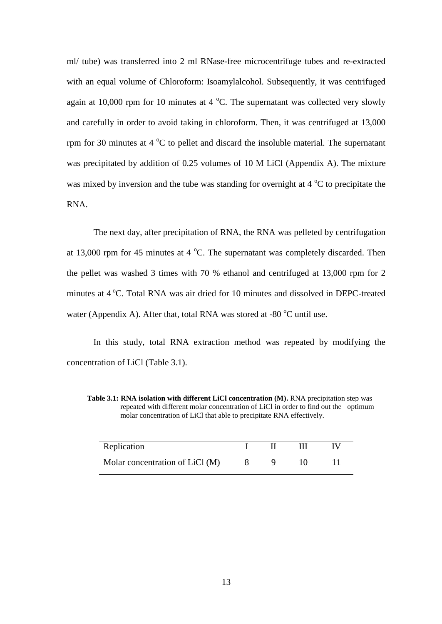ml/ tube) was transferred into 2 ml RNase-free microcentrifuge tubes and re-extracted with an equal volume of Chloroform: Isoamylalcohol. Subsequently, it was centrifuged again at 10,000 rpm for 10 minutes at 4  $^{\circ}$ C. The supernatant was collected very slowly and carefully in order to avoid taking in chloroform. Then, it was centrifuged at 13,000 rpm for 30 minutes at  $4^{\circ}$ C to pellet and discard the insoluble material. The supernatant was precipitated by addition of 0.25 volumes of 10 M LiCl (Appendix A). The mixture was mixed by inversion and the tube was standing for overnight at  $4^{\circ}$ C to precipitate the RNA.

The next day, after precipitation of RNA, the RNA was pelleted by centrifugation at 13,000 rpm for 45 minutes at 4  $^{\circ}$ C. The supernatant was completely discarded. Then the pellet was washed 3 times with 70 % ethanol and centrifuged at 13,000 rpm for 2 minutes at 4 °C. Total RNA was air dried for 10 minutes and dissolved in DEPC-treated water (Appendix A). After that, total RNA was stored at -80  $^{\circ}$ C until use.

In this study, total RNA extraction method was repeated by modifying the concentration of LiCl (Table 3.1).

**Table 3.1: RNA isolation with different LiCl concentration (M).** RNA precipitation step was repeated with different molar concentration of LiCl in order to find out the optimum molar concentration of LiCl that able to precipitate RNA effectively.

| Replication                     |  |  |  |
|---------------------------------|--|--|--|
| Molar concentration of LiCl (M) |  |  |  |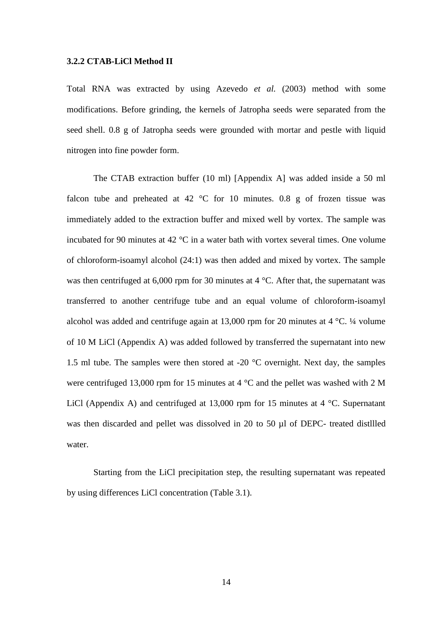# **3.2.2 CTAB-LiCl Method II**

Total RNA was extracted by using Azevedo *et al.* (2003) method with some modifications. Before grinding, the kernels of Jatropha seeds were separated from the seed shell. 0.8 g of Jatropha seeds were grounded with mortar and pestle with liquid nitrogen into fine powder form.

The CTAB extraction buffer (10 ml) [Appendix A] was added inside a 50 ml falcon tube and preheated at 42  $\degree$ C for 10 minutes. 0.8 g of frozen tissue was immediately added to the extraction buffer and mixed well by vortex. The sample was incubated for 90 minutes at 42 °C in a water bath with vortex several times. One volume of chloroform-isoamyl alcohol (24:1) was then added and mixed by vortex. The sample was then centrifuged at 6,000 rpm for 30 minutes at 4 °C. After that, the supernatant was transferred to another centrifuge tube and an equal volume of chloroform-isoamyl alcohol was added and centrifuge again at 13,000 rpm for 20 minutes at 4 °C. ¼ volume of 10 M LiCl (Appendix A) was added followed by transferred the supernatant into new 1.5 ml tube. The samples were then stored at -20 °C overnight. Next day, the samples were centrifuged 13,000 rpm for 15 minutes at 4 °C and the pellet was washed with 2 M LiCl (Appendix A) and centrifuged at 13,000 rpm for 15 minutes at 4  $\degree$ C. Supernatant was then discarded and pellet was dissolved in 20 to 50 µl of DEPC- treated distllled water.

Starting from the LiCl precipitation step, the resulting supernatant was repeated by using differences LiCl concentration (Table 3.1).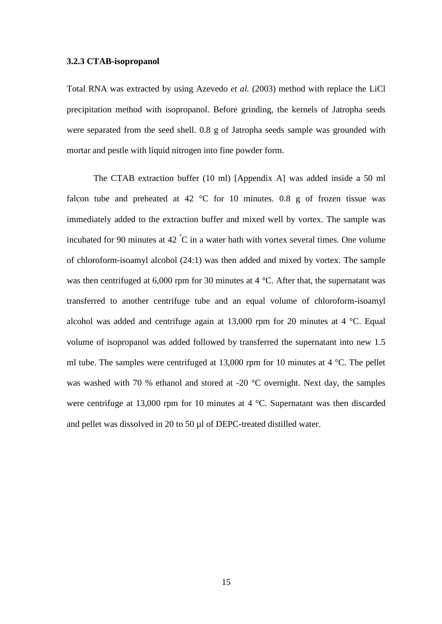#### **3.2.3 CTAB-isopropanol**

Total RNA was extracted by using Azevedo *et al.* (2003) method with replace the LiCl precipitation method with isopropanol. Before grinding, the kernels of Jatropha seeds were separated from the seed shell. 0.8 g of Jatropha seeds sample was grounded with mortar and pestle with liquid nitrogen into fine powder form.

The CTAB extraction buffer (10 ml) [Appendix A] was added inside a 50 ml falcon tube and preheated at 42  $\degree$ C for 10 minutes. 0.8 g of frozen tissue was immediately added to the extraction buffer and mixed well by vortex. The sample was incubated for 90 minutes at 42  $^{\circ}$ C in a water bath with vortex several times. One volume of chloroform-isoamyl alcohol (24:1) was then added and mixed by vortex. The sample was then centrifuged at 6,000 rpm for 30 minutes at 4 °C. After that, the supernatant was transferred to another centrifuge tube and an equal volume of chloroform-isoamyl alcohol was added and centrifuge again at 13,000 rpm for 20 minutes at 4 °C. Equal volume of isopropanol was added followed by transferred the supernatant into new 1.5 ml tube. The samples were centrifuged at 13,000 rpm for 10 minutes at 4 °C. The pellet was washed with 70 % ethanol and stored at -20 °C overnight. Next day, the samples were centrifuge at 13,000 rpm for 10 minutes at 4 °C. Supernatant was then discarded and pellet was dissolved in 20 to 50 µl of DEPC-treated distilled water.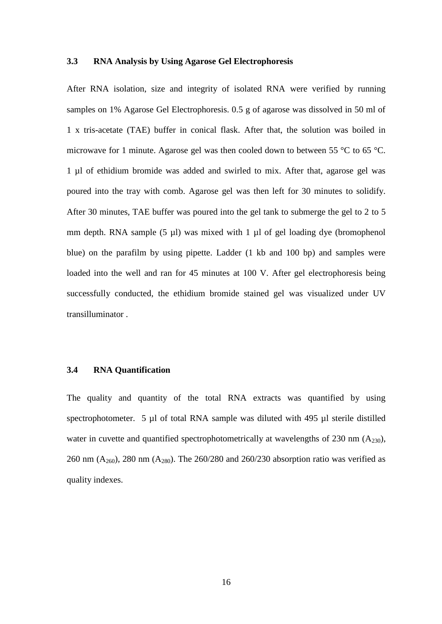# **3.3 RNA Analysis by Using Agarose Gel Electrophoresis**

After RNA isolation, size and integrity of isolated RNA were verified by running samples on 1% Agarose Gel Electrophoresis. 0.5 g of agarose was dissolved in 50 ml of 1 x tris-acetate (TAE) buffer in conical flask. After that, the solution was boiled in microwave for 1 minute. Agarose gel was then cooled down to between 55 °C to 65 °C. 1 µl of ethidium bromide was added and swirled to mix. After that, agarose gel was poured into the tray with comb. Agarose gel was then left for 30 minutes to solidify. After 30 minutes, TAE buffer was poured into the gel tank to submerge the gel to 2 to 5 mm depth. RNA sample  $(5 \mu l)$  was mixed with 1  $\mu l$  of gel loading dye (bromophenol blue) on the parafilm by using pipette. Ladder (1 kb and 100 bp) and samples were loaded into the well and ran for 45 minutes at 100 V. After gel electrophoresis being successfully conducted, the ethidium bromide stained gel was visualized under UV transilluminator .

## **3.4 RNA Quantification**

The quality and quantity of the total RNA extracts was quantified by using spectrophotometer. 5 µl of total RNA sample was diluted with 495 µl sterile distilled water in cuvette and quantified spectrophotometrically at wavelengths of 230 nm (A<sub>230</sub>), 260 nm  $(A_{260})$ , 280 nm  $(A_{280})$ . The 260/280 and 260/230 absorption ratio was verified as quality indexes.